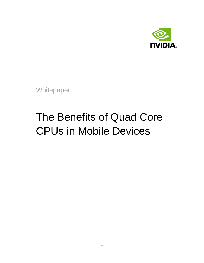

<span id="page-0-0"></span>**Whitepaper** 

# The Benefits of Quad Core CPUs in Mobile Devices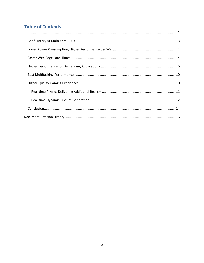# **Table of Contents**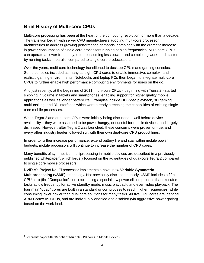# <span id="page-2-0"></span>**Brief History of Multi-core CPUs**

Multi-core processing has been at the heart of the computing revolution for more than a decade. The transition began with server CPU manufacturers adopting multi-core processor architectures to address growing performance demands, combined with the dramatic increase in power consumption of single core processors running at high frequencies. Multi-core CPUs can operate at lower frequency, often consuming less power, and completing work much faster by running tasks in parallel compared to single core predecessors.

Over the years, multi-core technology transitioned to desktop CPU's and gaming consoles. Some consoles included as many as eight CPU cores to enable immersive, complex, and realistic gaming environments. Notebooks and laptop PCs then began to integrate multi-core CPUs to further enable high performance computing environments for users on the go.

And just recently, at the beginning of 2011, multi-core CPUs - beginning with Tegra 2 - started shipping in volume in tablets and smartphones, enabling support for higher quality mobile applications as well as longer battery life. Examples include HD video playback, 3D gaming, multi-tasking, and 3D interfaces which were already stretching the capabilities of existing single core mobile processors.

When Tegra 2 and dual-core CPUs were initially being discussed – well before device availability – they were assumed to be power hungry, not useful for mobile devices, and largely dismissed. However, after Tegra 2 was launched, these concerns were proven untrue, and every other industry leader followed suit with their own dual-core CPU product lines.

In order to further increase performance, extend battery life and stay within mobile power budgets, mobile processors will continue to increase the number of CPU cores.

Many benefits of symmetrical multiprocessing in mobile devices are described in a previously published whitepaper<sup>1</sup>, which largely focused on the advantages of dual-core Tegra 2 compared to single core mobile processors.

NVIDIA's Project Kal-El processor implements a novel new **Variable Symmetric Multiprocessing (vSMP)** technology. Not previously disclosed publicly, vSMP includes a fifth CPU core (the "Companion" core) built using a special low power silicon process that executes tasks at low frequency for active standby mode, music playback, and even video playback. The four main "quad" cores are built in a standard silicon process to reach higher frequencies, while consuming lower power than dual core solutions for many tasks. All five CPU cores are identical ARM Cortex A9 CPUs, and are individually enabled and disabled (via aggressive power gating) based on the work load.

 $\overline{\phantom{a}}$ 

 $^{1}$  See Whitepaper title 'Benefit of Multiple CPU cores in Mobile Devices'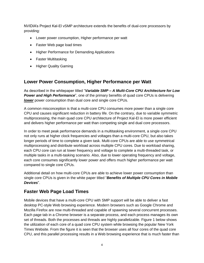NVIDIA's Project Kal-El vSMP architecture extends the benefits of dual-core processors by providing:

- Lower power consumption, Higher performance per watt
- Faster Web page load times
- Higher Performance for Demanding Applications
- Faster Multitasking
- Higher Quality Gaming

## <span id="page-3-0"></span>**Lower Power Consumption, Higher Performance per Watt**

As described in the whitepaper titled "*Variable SMP – A Multi-Core CPU Architecture for Low*  **Power and High Performance**", one of the primary benefits of quad core CPUs is delivering *lower* power consumption than dual core and single core CPUs.

A common misconception is that a multi-core CPU consumes more power than a single core CPU and causes significant reduction in battery life. On the contrary, due to variable symmetric multiprocessing, the main quad core CPU architecture of Project Kal-El is more power efficient and delivers higher performance per watt than competing single and dual core processors.

In order to meet peak performance demands in a multitasking environment, a single core CPU not only runs at higher clock frequencies and voltages than a multi-core CPU, but also takes longer periods of time to complete a given task. Multi-core CPUs are able to use symmetrical multiprocessing and distribute workload across multiple CPU cores. Due to workload sharing, each CPU core can run at lower frequency and voltage to complete a multi-threaded task, or multiple tasks in a multi-tasking scenario. Also, due to lower operating frequency and voltage, each core consumes significantly lower power and offers much higher performance per watt compared to single core CPUs.

Additional detail on how multi-core CPUs are able to achieve lower power consumption than single core CPUs is given in the white paper titled "*Benefits of Multiple CPU Cores in Mobile Devices*".

### <span id="page-3-1"></span>**Faster Web Page Load Times**

Mobile devices that have a multi-core CPU with SMP support will be able to deliver a fast desktop PC-style Web browsing experience. Modern browsers such as Google Chrome and Mozilla Firefox are now multi-threaded and capable of spawning several concurrent processes. Each page tab in a Chrome browser is a separate process, and each process manages its own set of threads. Both the processes and threads are highly parallelizable. Figure 1 below shows the utilization of each core of a quad core CPU system while browsing the popular New York Times Website. From the figure it is seen that the browser uses all four cores of the quad core CPU, and this parallel processing results in a Web browsing experience that is much faster than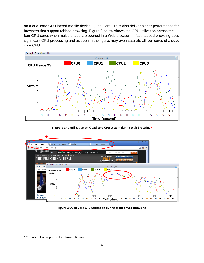on a dual core CPU-based mobile device. Quad Core CPUs also deliver higher performance for browsers that support tabbed browsing. Figure 2 below shows the CPU utilization across the four CPU cores when multiple tabs are opened in a Web browser. In fact, tabbed browsing uses significant CPU processing and as seen in the figure, may even saturate all four cores of a quad core CPU.







#### **Figure 2 Quad Core CPU utilization during tabbed Web browsing**

 $\overline{\phantom{a}}$ 

<sup>&</sup>lt;sup>2</sup> CPU utilization reported for Chrome Browser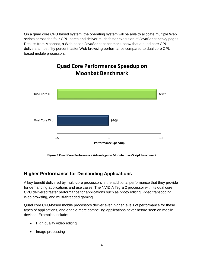On a quad core CPU based system, the operating system will be able to allocate multiple Web scripts across the four CPU cores and deliver much faster execution of JavaScript heavy pages. Results from Moonbat, a Web based JavaScript benchmark, show that a quad core CPU delivers almost fifty percent faster Web browsing performance compared to dual core CPU based mobile processors.

.



**Figure 3 Quad Core Performance Advantage on Moonbat JavaScript benchmark**

# <span id="page-5-0"></span>**Higher Performance for Demanding Applications**

A key benefit delivered by multi-core processors is the additional performance that they provide for demanding applications and use cases. The NVIDIA Tegra 2 processor with its dual core CPU delivered faster performance for applications such as photo editing, video transcoding, Web browsing, and multi-threaded gaming.

Quad core CPU-based mobile processors deliver even higher levels of performance for these types of applications, and enable more compelling applications never before seen on mobile devices. Examples include:

- High quality video editing
- Image processing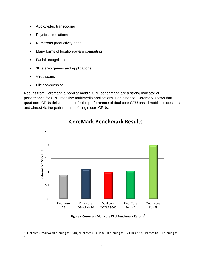- Audio/video transcoding
- Physics simulations
- Numerous productivity apps
- Many forms of location-aware computing
- Facial recognition
- 3D stereo games and applications
- Virus scans

l

• File compression

Results from Coremark, a popular mobile CPU benchmark, are a strong indicator of performance for CPU intensive multimedia applications. For instance, Coremark shows that quad core CPUs delivers almost 2x the performance of dual core CPU based mobile processors and almost 4x the performance of single core CPUs.



#### **Figure 4 Coremark Multicore CPU Benchmark Results<sup>3</sup>**

 $^3$  Dual core OMAP4430 running at 1GHz, dual core QCOM 8660 running at 1.2 Ghz and quad core Kal-El running at 1 Ghz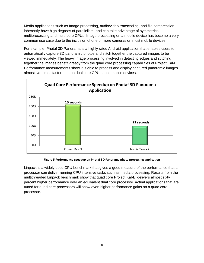Media applications such as Image processing, audio/video transcoding, and file compression inherently have high degrees of parallelism, and can take advantage of symmetrical multiprocessing and multi-core CPUs. Image processing on a mobile device has become a very common use case due to the inclusion of one or more cameras on most mobile devices.

For example, Photaf 3D Panorama is a highly rated Android application that enables users to automatically capture 3D panoramic photos and stitch together the captured images to be viewed immediately. The heavy image processing involved in detecting edges and stitching together the images benefit greatly from the quad core processing capabilities of Project Kal-El. Performance measurements show it is able to process and display captured panoramic images almost two times faster than on dual core CPU based mobile devices.



#### **Figure 5 Performance speedup on Photaf 3D Panorama photo processing application**

Linpack is a widely used CPU benchmark that gives a good measure of the performance that a processor can deliver running CPU intensive tasks such as media processing. Results from the multithreaded Linpack benchmark show that quad core Project Kal-El delivers almost sixty percent higher performance over an equivalent dual core processor. Actual applications that are tuned for quad core processors will show even higher performance gains on a quad core processor.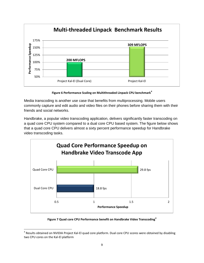

**Figure 6 Performance Scaling on Multithreaded Linpack CPU benchmark<sup>4</sup>**

Media transcoding is another use case that benefits from multiprocessing. Mobile users commonly capture and edit audio and video files on their phones before sharing them with their friends and social networks.

Handbrake, a popular video transcoding application, delivers significantly faster transcoding on a quad core CPU system compared to a dual core CPU based system. The figure below shows that a quad core CPU delivers almost a sixty percent performance speedup for Handbrake video transcoding tasks.



**Figure 7 Quad core CPU Performance benefit on Handbrake Video Transcoding<sup>4</sup>**

l <sup>4</sup> Results obtained on NVIDIA Project Kal-El quad core platform. Dual core CPU scores were obtained by disabling two CPU cores on the Kal-El platform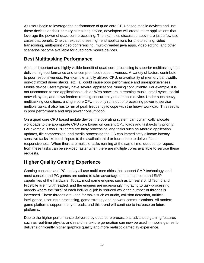As users begin to leverage the performance of quad core CPU-based mobile devices and use these devices as their primary computing device, developers will create more applications that leverage the power of quad core processing. The examples discussed above are just a few use cases that benefit. One can expect to see high-end applications for photo editing, video transcoding, multi-point video conferencing, multi-threaded java apps, video editing, and other scenarios become available for quad core mobile devices.

# <span id="page-9-0"></span>**Best Multitasking Performance**

Another important and highly visible benefit of quad core processing is superior multitasking that delivers high performance and uncompromised responsiveness. A variety of factors contribute to poor responsiveness. For example, a fully utilized CPU, unavailability of memory bandwidth, non-optimized driver stacks, etc., all could cause poor performance and unresponsiveness. Mobile device users typically have several applications running concurrently. For example, it is not uncommon to see applications such as Web browsers, streaming music, email syncs, social network syncs, and news feeders running concurrently on a mobile device. Under such heavy multitasking conditions, a single core CPU not only runs out of processing power to service multiple tasks, it also has to run at peak frequency to cope with the heavy workload. This results in poor performance and high power consumption.

On a quad core CPU based mobile device, the operating system can dynamically allocate workloads to the appropriate CPU core based on current CPU loads and task/activity priority. For example, if two CPU cores are busy processing long tasks such as Android application updates, file compression, and media processing the OS can immediately allocate latency sensitive tasks like touch inputs to the available third or fourth core to deliver faster responsiveness. When there are multiple tasks running at the same time, queued up request from these tasks can be serviced faster when there are multiple cores available to service these requests.

# <span id="page-9-1"></span>**Higher Quality Gaming Experience**

Gaming consoles and PCs today all use multi-core chips that support SMP technology, and most console and PC games are coded to take advantage of the multi-core and SMP capabilities of the hardware. Today, most game engines such as Unreal 3.0, Id Tech 5 and Frostbite are multithreaded, and the engines are increasingly migrating to task-processing models where the "size" of each individual job is reduced while the number of threads is increased. These threads are used for tasks such as audio, collision detection, artificial intelligence, user input processing, game strategy and network communications. All modern game platforms support many threads, and this trend will continue to increase on future platforms.

Due to the higher performance delivered by quad core processors, advanced gaming features such as real-time physics and real-time texture generation can now be used in mobile games to deliver significantly higher graphics quality and more realistic gameplay experience.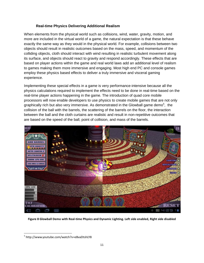#### **Real-time Physics Delivering Additional Realism**

<span id="page-10-0"></span>When elements from the physical world such as collisions, wind, water, gravity, motion, and more are included in the virtual world of a game, the natural expectation is that these behave exactly the same way as they would in the physical world. For example, collisions between two objects should result in realistic outcomes based on the mass, speed, and momentum of the colliding objects, cloth should interact with wind resulting in realistic turbulent movement along its surface, and objects should react to gravity and respond accordingly. These effects that are based on player actions within the game and real world laws add an additional level of realism to games making them more immersive and engaging. Most high end PC and console games employ these physics based effects to deliver a truly immersive and visceral gaming experience.

Implementing these special effects in a game is very performance-intensive because all the physics calculations required to implement the effects need to be done in real-time based on the real-time player actions happening in the game. The introduction of quad core mobile processors will now enable developers to use physics to create mobile games that are not only graphically rich but also very immersive. As demonstrated in the Glowball game demo<sup>5</sup>, the collision of the ball with the barrels, the scattering of the barrels on the floor, the interaction between the ball and the cloth curtains are realistic and result in non-repetitive outcomes that are based on the speed of the ball, point of collision, and mass of the barrels.



**Figure 8 Glowball Demo with Real-time Physics and Dynamic Lighting. Left side enabled, Right side disabled**

 $\overline{\phantom{a}}$ 

<sup>5</sup> http://www.youtube.com/watch?v=eBvaDtshLY8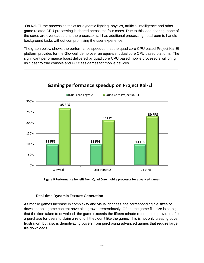On Kal-El, the processing tasks for dynamic lighting, physics, artificial intelligence and other game related CPU processing is shared across the four cores. Due to this load sharing, none of the cores are overloaded and the processor still has additional processing headroom to handle background tasks without compromising the user experience.

The graph below shows the performance speedup that the quad core CPU based Project Kal-El platform provides for the Glowball demo over an equivalent dual core CPU based platform. The significant performance boost delivered by quad core CPU based mobile processors will bring us closer to true console and PC class games for mobile devices.



**Figure 9 Performance benefit from Quad Core mobile processor for advanced games**

#### **Real-time Dynamic Texture Generation**

<span id="page-11-0"></span>As mobile games increase in complexity and visual richness, the corresponding file sizes of downloadable game content have also grown tremendously. Often, the game file size is so big that the time taken to download the game exceeds the fifteen minute refund time provided after a purchase for users to claim a refund if they don't like the game. This is not only creating buyer frustration, but also is demotivating buyers from purchasing advanced games that require large file downloads.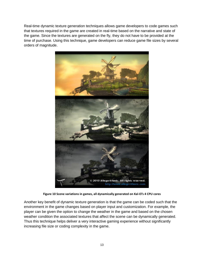Real-time dynamic texture generation techniques allows game developers to code games such that textures required in the game are created in real-time based on the narrative and state of the game. Since the textures are generated on the fly, they do not have to be provided at the time of purchase. Using this technique, game developers can reduce game file sizes by several orders of magnitude.



**Figure 10 Scene variations in games, all dynamically generated on Kal-El's 4 CPU cores**

Another key benefit of dynamic texture generation is that the game can be coded such that the environment in the game changes based on player input and customization. For example, the player can be given the option to change the weather in the game and based on the chosen weather condition the associated textures that affect the scene can be dynamically generated. Thus this technique helps deliver a very interactive gaming experience without significantly increasing file size or coding complexity in the game.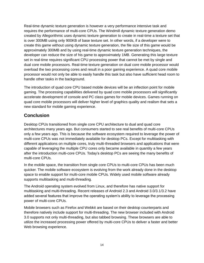Real-time dynamic texture generation is however a very performance intensive task and requires the performance of multi-core CPUs. The Windmill dynamic texture generation demo created by Allegorithmic uses dynamic texture generation to create in real-time a texture set that is over 300MB using only 900KB of base texture set. In other words, if a developer were to create this game without using dynamic texture generation, the file size of this game would be approximately 300MB and by using real-time dynamic texture generation techniques, the developer can reduce the size of his game to approximately 1MB. Generating this large texture set in real-time requires significant CPU processing power that cannot be met by single and dual core mobile processors. Real-time texture generation on dual core mobile processor would overload the two processing cores and result in a poor gaming experience. A quad core mobile processor would not only be able to easily handle this task but also have sufficient head room to handle other tasks in the background.

The introduction of quad core CPU based mobile devices will be an inflection point for mobile gaming. The processing capabilities delivered by quad core mobile processors will significantly accelerate development of console and PC class games for mobile devices. Games running on quad core mobile processors will deliver higher level of graphics quality and realism that sets a new standard for mobile gaming experience.

# <span id="page-13-0"></span>**Conclusion**

Desktop CPUs transitioned from single core CPU architecture to dual and quad core architectures many years ago. But consumers started to see real benefits of multi-core CPUs only a few years ago. This is because the software ecosystem required to leverage the power of multi-core CPUs was not immediately available for desktop PCs. Except for multitasking with different applications on multiple cores, truly multi-threaded browsers and applications that were capable of leveraging the multiple CPU cores only became available in quantity a few years after the introduction multi-core CPUs. Today's desktop PCs are seeing the many benefits of multi-core CPUs.

In the mobile space, the transition from single core CPUs to multi-core CPUs has been much quicker. The mobile software ecosystem is evolving from the work already done in the desktop space to enable support for multi-core mobile CPUs. Widely used mobile software already supports multitasking and multi-threading.

The Android operating system evolved from Linux, and therefore has native support for multitasking and multi-threading. Recent releases of Android 2.3 and Android 3.0/3.1/3.2 have added several features that improve the operating system's ability to leverage the processing power of multi-core CPUs.

Mobile browsers such as Firefox and Webkit are based on their desktop counterparts and therefore natively include support for multi-threading. The new browser included with Android 3.0 supports not only multi-threading, but also tabbed browsing. These browsers are able to utilize the increased processing power offered by multi-core CPUs to deliver a faster and better Web browsing experience.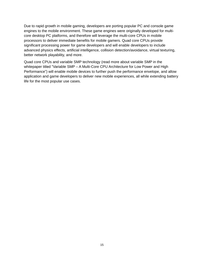Due to rapid growth in mobile gaming, developers are porting popular PC and console game engines to the mobile environment. These game engines were originally developed for multicore desktop PC platforms, and therefore will leverage the multi-core CPUs in mobile processors to deliver immediate benefits for mobile gamers. Quad core CPUs provide significant processing power for game developers and will enable developers to include advanced physics effects, artificial intelligence, collision detection/avoidance, virtual texturing, better network playability, and more.

Quad core CPUs and variable SMP technology (read more about variable SMP in the whitepaper titled "Variable SMP – A Multi-Core CPU Architecture for Low Power and High Performance") will enable mobile devices to further push the performance envelope, and allow application and game developers to deliver new mobile experiences, all while extending battery life for the most popular use cases.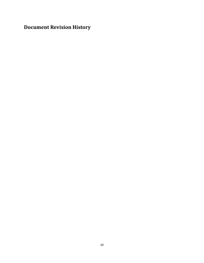<span id="page-15-0"></span>**Document Revision History**